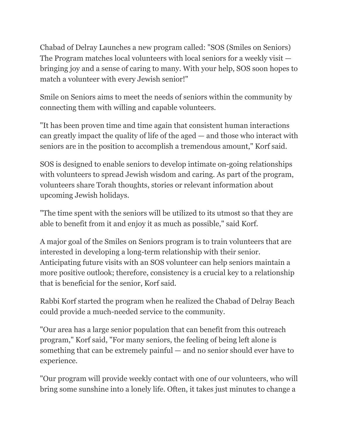Chabad of Delray Launches a new program called: "SOS (Smiles on Seniors) The Program matches local volunteers with local seniors for a weekly visit bringing joy and a sense of caring to many. With your help, SOS soon hopes to match a volunteer with every Jewish senior!"

Smile on Seniors aims to meet the needs of seniors within the community by connecting them with willing and capable volunteers.

"It has been proven time and time again that consistent human interactions can greatly impact the quality of life of the aged — and those who interact with seniors are in the position to accomplish a tremendous amount," Korf said.

SOS is designed to enable seniors to develop intimate on-going relationships with volunteers to spread Jewish wisdom and caring. As part of the program, volunteers share Torah thoughts, stories or relevant information about upcoming Jewish holidays.

"The time spent with the seniors will be utilized to its utmost so that they are able to benefit from it and enjoy it as much as possible," said Korf.

A major goal of the Smiles on Seniors program is to train volunteers that are interested in developing a long-term relationship with their senior. Anticipating future visits with an SOS volunteer can help seniors maintain a more positive outlook; therefore, consistency is a crucial key to a relationship that is beneficial for the senior, Korf said.

Rabbi Korf started the program when he realized the Chabad of Delray Beach could provide a much-needed service to the community.

"Our area has a large senior population that can benefit from this outreach program," Korf said, "For many seniors, the feeling of being left alone is something that can be extremely painful — and no senior should ever have to experience.

"Our program will provide weekly contact with one of our volunteers, who will bring some sunshine into a lonely life. Often, it takes just minutes to change a